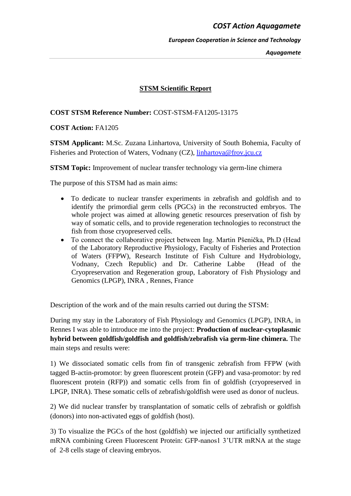## *COST Action Aquagamete*

*European Cooperation in Science and Technology*

*Aquagamete*

# **STSM Scientific Report**

## **COST STSM Reference Number:** COST-STSM-FA1205-13175

## **COST Action:** FA1205

**STSM Applicant:** M.Sc. Zuzana Linhartova, University of South Bohemia, Faculty of Fisheries and Protection of Waters, Vodnany (CZ), [linhartova@frov.jcu.cz](mailto:linhartova@frov.jcu.cz)

**STSM Topic:** Improvement of nuclear transfer technology via germ-line chimera

The purpose of this STSM had as main aims:

- To dedicate to nuclear transfer experiments in zebrafish and goldfish and to identify the primordial germ cells (PGCs) in the reconstructed embryos. The whole project was aimed at allowing genetic resources preservation of fish by way of somatic cells, and to provide regeneration technologies to reconstruct the fish from those cryopreserved cells.
- To connect the collaborative project between Ing. Martin Pšenička, Ph.D (Head of the Laboratory Reproductive Physiology, Faculty of Fisheries and Protection of Waters (FFPW), Research Institute of Fish Culture and Hydrobiology, Vodnany, Czech Republic) and Dr. Catherine Labbe (Head of the Cryopreservation and Regeneration group, Laboratory of Fish Physiology and Genomics (LPGP), INRA , Rennes, France

Description of the work and of the main results carried out during the STSM:

During my stay in the Laboratory of Fish Physiology and Genomics (LPGP), INRA, in Rennes I was able to introduce me into the project: **Production of nuclear-cytoplasmic hybrid between goldfish/goldfish and goldfish/zebrafish via germ-line chimera.** The main steps and results were:

1) We dissociated somatic cells from fin of transgenic zebrafish from FFPW (with tagged B-actin-promotor: by green fluorescent protein (GFP) and vasa-promotor: by red fluorescent protein (RFP)) and somatic cells from fin of goldfish (cryopreserved in LPGP, INRA). These somatic cells of zebrafish/goldfish were used as donor of nucleus.

2) We did nuclear transfer by transplantation of somatic cells of zebrafish or goldfish (donors) into non-activated eggs of goldfish (host).

3) To visualize the PGCs of the host (goldfish) we injected our artificially synthetized mRNA combining Green Fluorescent Protein: GFP-nanos1 3'UTR mRNA at the stage of 2-8 cells stage of cleaving embryos.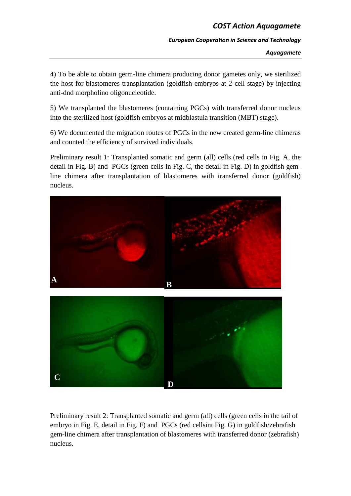# *COST Action Aquagamete*

#### *European Cooperation in Science and Technology*

*Aquagamete*

4) To be able to obtain germ-line chimera producing donor gametes only, we sterilized the host for blastomeres transplantation (goldfish embryos at 2-cell stage) by injecting anti-dnd morpholino oligonucleotide.

5) We transplanted the blastomeres (containing PGCs) with transferred donor nucleus into the sterilized host (goldfish embryos at midblastula transition (MBT) stage).

6) We documented the migration routes of PGCs in the new created germ-line chimeras and counted the efficiency of survived individuals.

Preliminary result 1: Transplanted somatic and germ (all) cells (red cells in Fig. A, the detail in Fig. B) and PGCs (green cells in Fig. C, the detail in Fig. D) in goldfish gemline chimera after transplantation of blastomeres with transferred donor (goldfish) nucleus.



Preliminary result 2: Transplanted somatic and germ (all) cells (green cells in the tail of embryo in Fig. E, detail in Fig. F) and PGCs (red cellsint Fig. G) in goldfish/zebrafish gem-line chimera after transplantation of blastomeres with transferred donor (zebrafish) nucleus.